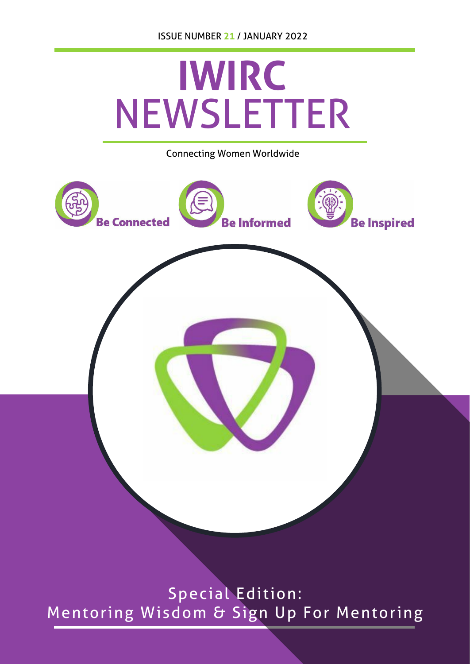

Mentoring Wisdom & Sign Up For Mentoring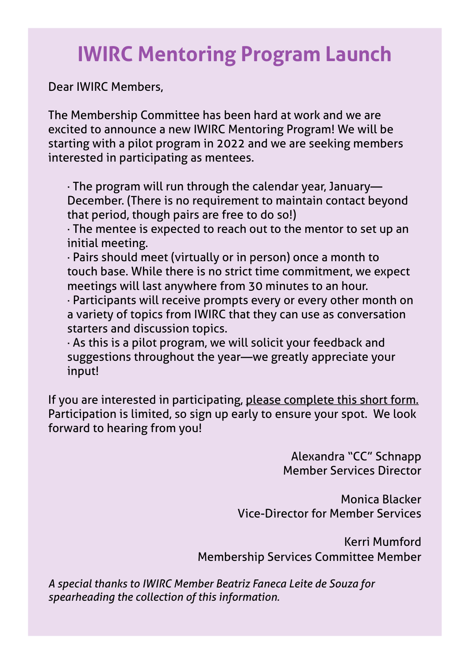# **IWIRC Mentoring Program Launch**

Dear IWIRC Members,

The Membership Committee has been hard at work and we are excited to announce a new IWIRC Mentoring Program! We will be starting with a pilot program in 2022 and we are seeking members interested in participating as mentees.

· The program will run through the calendar year, January— December. (There is no requirement to maintain contact beyond that period, though pairs are free to do so!)

· The mentee is expected to reach out to the mentor to set up an initial meeting.

· Pairs should meet (virtually or in person) once a month to touch base. While there is no strict time commitment, we expect meetings will last anywhere from 30 minutes to an hour.

· Participants will receive prompts every or every other month on a variety of topics from IWIRC that they can use as conversation starters and discussion topics.

· As this is a pilot program, we will solicit your feedback and suggestions throughout the year—we greatly appreciate your<br>. input!

If you are interested in participating, [please complete this short form.](https://docs.google.com/forms/d/e/1FAIpQLSdnDrKx3OQA-Sppst28XofJVFhmd5OvV5f0wEqEAuf6iLg_cQ/viewform) Participation is limited, so sign up early to ensure your spot. We look forward to hearing from you!

> Alexandra "CC" Schnapp Member Services Director

Monica Blacker Vice-Director for Member Services

Kerri Mumford Membership Services Committee Member

*A special thanks to IWIRC Member Beatriz Faneca Leite de Souza for spearheading the collection of this information.*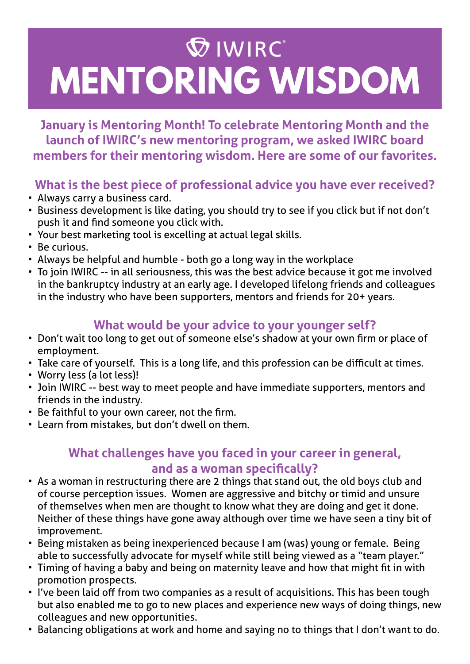# **WIRC MENTORING WISDOM**

**January is Mentoring Month! To celebrate Mentoring Month and the launch of IWIRC's new mentoring program, we asked IWIRC board members for their mentoring wisdom. Here are some of our favorites.** 

# **What is the best piece of professional advice you have ever received?**

- Always carry a business card.
- Business development is like dating, you should try to see if you click but if not don't push it and find someone you click with.
- Your best marketing tool is excelling at actual legal skills.
- Be curious.
- Always be helpful and humble both go a long way in the workplace
- To join IWIRC -- in all seriousness, this was the best advice because it got me involved in the bankruptcy industry at an early age. I developed lifelong friends and colleagues in the industry who have been supporters, mentors and friends for 20+ years.

# **What would be your advice to your younger self?**

- Don't wait too long to get out of someone else's shadow at your own firm or place of employment.
- Take care of yourself. This is a long life, and this profession can be difficult at times.
- Worry less (a lot less)!
- Join IWIRC -- best way to meet people and have immediate supporters, mentors and friends in the industry.
- Be faithful to your own career, not the firm.
- • Learn from mistakes, but don't dwell on them.

# **What challenges have you faced in your career in general, and as a woman specifically?**

- As a woman in restructuring there are 2 things that stand out, the old boys club and of course perception issues. Women are aggressive and bitchy or timid and unsure of themselves when men are thought to know what they are doing and get it done. Neither of these things have gone away although over time we have seen a tiny bit of improvement.
- Being mistaken as being inexperienced because I am (was) young or female. Being able to successfully advocate for myself while still being viewed as a "team player."
- Timing of having a baby and being on maternity leave and how that might fit in with promotion prospects.
- I've been laid off from two companies as a result of acquisitions. This has been tough but also enabled me to go to new places and experience new ways of doing things, new colleagues and new opportunities.
- Balancing obligations at work and home and saying no to things that I don't want to do.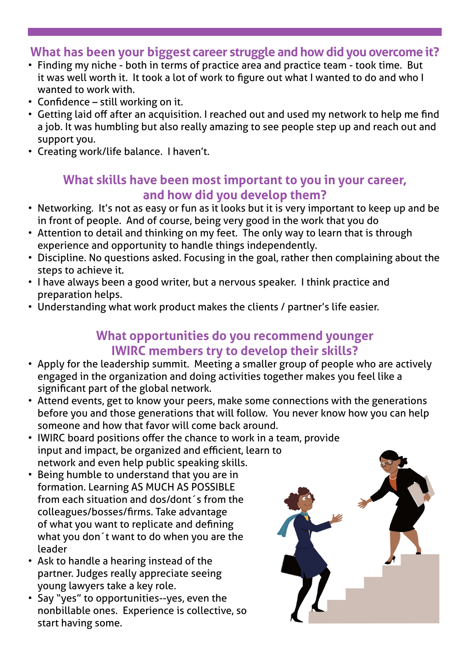### **What has been your biggest career struggle and how did you overcome it?**

- Finding my niche both in terms of practice area and practice team took time. But it was well worth it. It took a lot of work to figure out what I wanted to do and who I wanted to work with.
- Confidence still working on it.
- • Getting laid off after an acquisition. I reached out and used my network to help me find a job. It was humbling but also really amazing to see people step up and reach out and support you.
- • Creating work/life balance. I haven't.

#### **What skills have been most important to you in your career, and how did you develop them?**

- Networking. It's not as easy or fun as it looks but it is very important to keep up and be in front of people. And of course, being very good in the work that you do
- Attention to detail and thinking on my feet. The only way to learn that is through experience and opportunity to handle things independently.
- Discipline. No questions asked. Focusing in the goal, rather then complaining about the steps to achieve it.
- I have always been a good writer, but a nervous speaker. I think practice and preparation helps.
- Understanding what work product makes the clients / partner's life easier.

### **What opportunities do you recommend younger IWIRC members try to develop their skills?**

- Apply for the leadership summit. Meeting a smaller group of people who are actively engaged in the organization and doing activities together makes you feel like a significant part of the global network.
- Attend events, get to know your peers, make some connections with the generations before you and those generations that will follow. You never know how you can help someone and how that favor will come back around.
- IWIRC board positions offer the chance to work in a team, provide input and impact, be organized and efficient, learn to network and even help public speaking skills.
- Being humble to understand that you are in formation. Learning AS MUCH AS POSSIBLE from each situation and dos/dont´s from the colleagues/bosses/firms. Take advantage of what you want to replicate and defining what you don´t want to do when you are the leader
- Ask to handle a hearing instead of the partner. Judges really appreciate seeing young lawyers take a key role.
- Say "yes" to opportunities--yes, even the nonbillable ones. Experience is collective, so start having some.

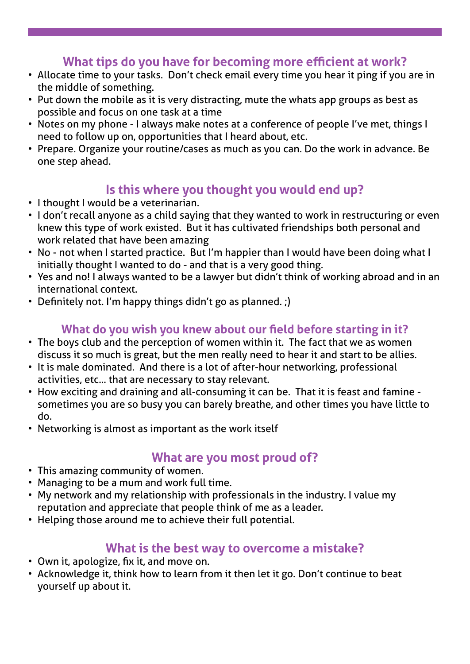# **What tips do you have for becoming more efficient at work?**

- Allocate time to your tasks. Don't check email every time you hear it ping if you are in the middle of something.
	- Put down the mobile as it is very distracting, mute the whats app groups as best as possible and focus on one task at a time
	- Notes on my phone I always make notes at a conference of people I've met, things I need to follow up on, opportunities that I heard about, etc.
	- Prepare. Organize your routine/cases as much as you can. Do the work in advance. Be one step ahead.

# **Is this where you thought you would end up?**

- • I thought I would be a veterinarian.
- I don't recall anyone as a child saying that they wanted to work in restructuring or even knew this type of work existed. But it has cultivated friendships both personal and work related that have been amazing
- No not when I started practice. But I'm happier than I would have been doing what I initially thought I wanted to do - and that is a very good thing.
- Yes and no! I always wanted to be a lawyer but didn't think of working abroad and in an international context.
- Definitely not. I'm happy things didn't go as planned. ;)

#### **What do you wish you knew about our field before starting in it?**

- The boys club and the perception of women within it. The fact that we as women discuss it so much is great, but the men really need to hear it and start to be allies.
- It is male dominated. And there is a lot of after-hour networking, professional activities, etc... that are necessary to stay relevant.
- How exciting and draining and all-consuming it can be. That it is feast and famine sometimes you are so busy you can barely breathe, and other times you have little to do.
	- Networking is almost as important as the work itself

# **What are you most proud of?**

- This amazing community of women.
- Managing to be a mum and work full time.
- My network and my relationship with professionals in the industry. I value my reputation and appreciate that people think of me as a leader.
- Helping those around me to achieve their full potential.

# **What is the best way to overcome a mistake?**

- Own it, apologize, fix it, and move on.
- Acknowledge it, think how to learn from it then let it go. Don't continue to beat yourself up about it.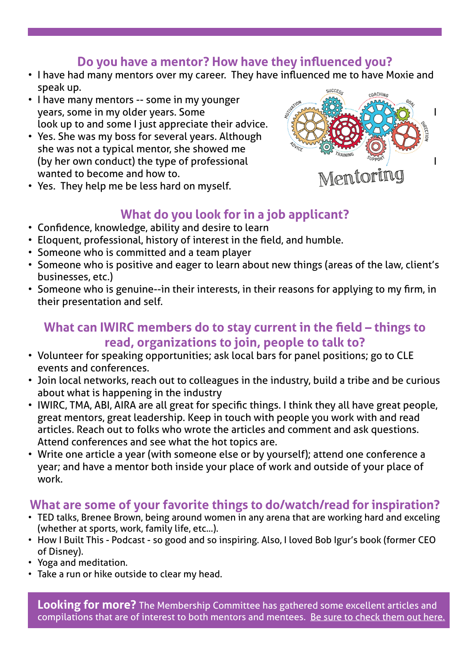# **Do you have a mentor? How have they influenced you?**

- I have had many mentors over my career. They have influenced me to have Moxie and speak up.
- I have many mentors -- some in my younger  $\gamma$ ears, some in my older years. Some  $\gamma$  is a set of  $\gamma$  is  $\gamma$ look up to and some I just appreciate their advice.
- Yes. She was my boss for several years. Although she was not a typical mentor, she showed me (by her own conduct) the type of professional<br>wanted to become and how to.<br>Yes They halo was had you have been as in the set of the set of the set of the set of the Mem.[OFING] wanted to become and how to.



• Yes. They help me be less hard on myself.

# **What do you look for in a job applicant?**

- Confidence, knowledge, ability and desire to learn
- Eloquent, professional, history of interest in the field, and humble.
- Someone who is committed and a team player
- Someone who is positive and eager to learn about new things (areas of the law, client's businesses, etc.)
- Someone who is genuine--in their interests, in their reasons for applying to my firm, in their presentation and self.

#### **What can IWIRC members do to stay current in the field – things to read, organizations to join, people to talk to?**

- Volunteer for speaking opportunities; ask local bars for panel positions; go to CLE events and conferences.
- Join local networks, reach out to colleagues in the industry, build a tribe and be curious about what is happening in the industry
- IWIRC, TMA, ABI, AIRA are all great for specific things. I think they all have great people, great mentors, great leadership. Keep in touch with people you work with and read articles. Reach out to folks who wrote the articles and comment and ask questions. Attend conferences and see what the hot topics are.
- Write one article a year (with someone else or by yourself); attend one conference a year; and have a mentor both inside your place of work and outside of your place of work.

# **What are some of your favorite things to do/watch/read for inspiration?**

- TED talks, Brenee Brown, being around women in any arena that are working hard and exceling (whether at sports, work, family life, etc...).
- How I Built This Podcast so good and so inspiring. Also, I loved Bob Igur's book (former CEO of Disney).
- • Yoga and meditation.
- Take a run or hike outside to clear my head.

**Looking for more?** The Membership Committee has gathered some excellent articles and compilations that are of interest to both mentors and mentees. [Be sure to check them out here.](https://www.iwirc.com/resources/mentoring/mentoring-tools.)